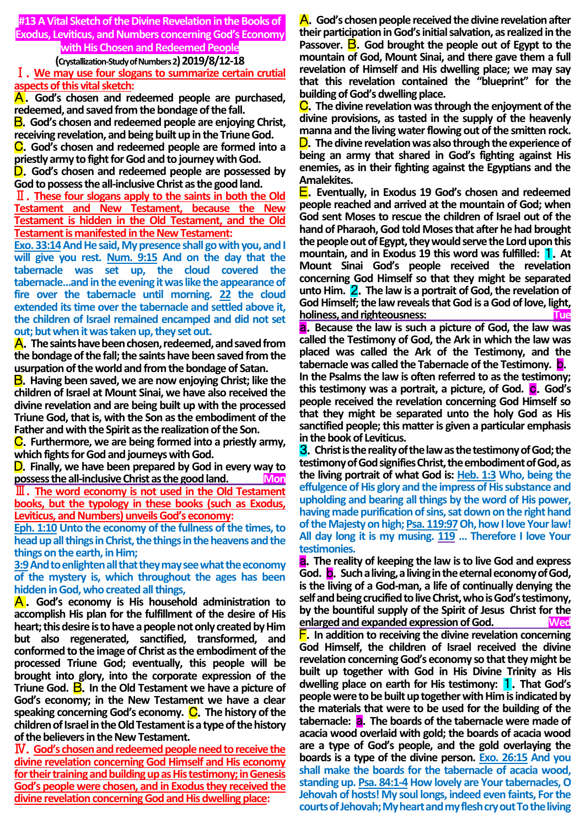**#13 A Vital Sketch of the Divine Revelation in the Books of Exodus, Leviticus, and Numbers concerning God's Economy with His Chosen and Redeemed People**

**(Crystallization-Study of Numbers 2)2019/8/12-18**

Ⅰ.**We may use four slogans to summarize certain crutial aspects of this vital sketch:**

A.**God's chosen and redeemed people are purchased, redeemed, and saved from the bondage of the fall.**

B.**God's chosen and redeemed people are enjoying Christ, receiving revelation, and being built up in the Triune God.**

C.**God's chosen and redeemed people are formed into a priestly army to fight for God and to journey with God.**

D.**God's chosen and redeemed people are possessed by God to possess the all-inclusive Christ as the good land.**

Ⅱ.**These four slogans apply to the saints in both the Old Testament and New Testament, because the New Testament is hidden in the Old Testament, and the Old Testament is manifested in the New Testament:**

**Exo. 33:14And He said, Mypresence shall go with you, and I will give you rest. Num. 9:15 And on the day that the tabernacle was set up, the cloud covered the tabernacle…and in the evening it was like the appearance of fire over the tabernacle until morning. 22 the cloud extended its time over the tabernacle and settled above it, the children of Israel remained encamped and did not set out; but when it was taken up, they set out.**

**A**. The saints have been chosen, redeemed, and saved from **the bondage of the fall; the saints have been saved from the usurpation of the world and from the bondage of Satan.** 

B.**Having been saved, we are now enjoying Christ; like the children of Israel at Mount Sinai, we have also received the divine revelation and are being built up with the processed Triune God, that is, with the Son as the embodiment of the Father and with the Spirit as the realization of the Son.**

C.**Furthermore, we are being formed into a priestly army, which fights for God and journeys with God.**

D.**Finally, we have been prepared by God in every way to possess the all-inclusive Christ as the good land. Mon**

Ⅲ.**The word economy is not used in the Old Testament books, but the typology in these books (such as Exodus, Leviticus, and Numbers) unveils God's economy:**

**Eph. 1:10 Unto the economy of the fullness of the times, to head up all things in Christ, the things in the heavens and the things on the earth, in Him;**

**3:9And to enlighten all that they may see what the economy of the mystery is, which throughout the ages has been hidden in God, who created all things,** 

A . **God's economy is His household administration to accomplish His plan for the fulfillment of the desire of His heart; this desire is to have a people not only created by Him but also regenerated, sanctified, transformed, and conformed to the image of Christ as the embodiment of the processed Triune God; eventually, this people will be brought into glory, into the corporate expression of the Triune God.** B.**In the Old Testament we have a picture of God's economy; in the New Testament we have a clear speaking concerning God's economy. C.** The history of the **children of Israel in the Old Testament is a type of the history of the believers in the New Testament.**

Ⅳ.**God's chosen and redeemed people need to receive the divine revelation concerning God Himself and His economy for their training and building up as His testimony; in Genesis God's people were chosen, and in Exodus they received the divine revelation concerning God and His dwelling place:**

A.**God's chosen people received the divine revelation after their participation in God's initial salvation, as realized in the Passover.** B.**God brought the people out of Egypt to the mountain of God, Mount Sinai, and there gave them a full revelation of Himself and His dwelling place; we may say that this revelation contained the "blueprint" for the building of God's dwelling place.**

C.**The divine revelation was through the enjoyment of the divine provisions, as tasted in the supply of the heavenly manna and the living water flowing out of the smitten rock.** D.**The divine revelation was also through the experience of being an army that shared in God's fighting against His enemies, as in their fighting against the Egyptians and the Amalekites.**

E.**Eventually, in Exodus 19 God's chosen and redeemed people reached and arrived at the mountain of God; when God sent Moses to rescue the children of Israel out of the hand of Pharaoh, God told Moses that after he had brought the people out of Egypt, they would serve the Lord upon this mountain, and in Exodus 19 this word was fulfilled:** 1.**At Mount Sinai God's people received the revelation concerning God Himself so that they might be separated unto Him.** 2.**The law is a portrait of God, the revelation of God Himself; the law reveals that God is a God of love, light, holiness, and righteousness:** Tue

a.**Because the law is such a picture of God, the law was called the Testimony of God, the Ark in which the law was placed was called the Ark of the Testimony, and the tabernacle was called the Tabernacle of the Testimony.** b. **In the Psalms the law is often referred to as the testimony; this testimony was a portrait, a picture, of God. C. God's people received the revelation concerning God Himself so that they might be separated unto the holy God as His sanctified people; this matter is given a particular emphasis in the book of Leviticus.**

3.**Christ is the reality of the law as the testimony of God; the testimony of God signifies Christ, the embodiment of God, as the living portrait of what God is: Heb. 1:3 Who, being the effulgence of His glory and the impress of His substance and upholding and bearing all things by the word of His power, having made purification of sins, sat down on the right hand of the Majesty on high; Psa. 119:97Oh, how I love Your law! All day long it is my musing. 119 … Therefore I love Your testimonies.**

a.**The reality of keeping the law is to live God and express God.** b.**Such a living, a living in the eternal economy of God, is the living of a God-man, a life of continually denying the self and being crucified to live Christ, who is God's testimony, by the bountiful supply of the Spirit of Jesus Christ for the enlarged and expanded expression of God. Wed**

F.**In addition to receiving the divine revelation concerning God Himself, the children of Israel received the divine revelation concerning God's economy so that they might be built up together with God in His Divine Trinity as His dwelling place on earth for His testimony:** 1.**That God's people were to be built up together with Him is indicated by the materials that were to be used for the building of the tabernacle:** a.**The boards of the tabernacle were made of acacia wood overlaid with gold; the boards of acacia wood are a type of God's people, and the gold overlaying the boards is a type of the divine person. Exo. 26:15 And you shall make the boards for the tabernacle of acacia wood, standing up. Psa. 84:1-4 How lovely are Your tabernacles, O Jehovah of hosts! My soul longs, indeed even faints, For the courts of Jehovah; My heart and my flesh cry out To the living**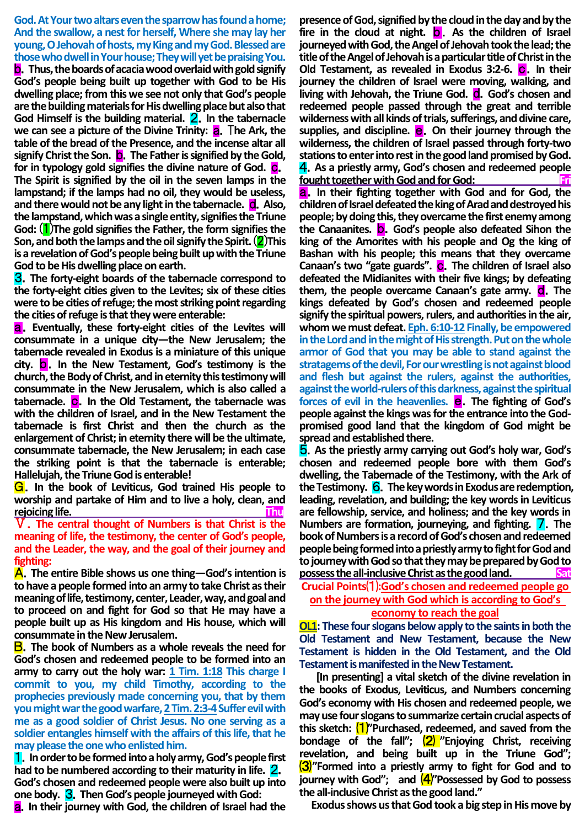## **God. At Your two altars even the sparrow has found a home; And the swallow, a nest for herself, Where she may lay her young, O Jehovah of hosts, my King and my God. Blessed are those who dwell in Your house; They will yet be praising You.**

b.**Thus, the boards of acacia wood overlaid with gold signify God's people being built up together with God to be His dwelling place; from this we see not only that God's people are the building materials for His dwelling place but also that God Himself is the building material.** 2.**In the tabernacle we can see a picture of the Divine Trinity: <b>a.** The Ark, the **table of the bread of the Presence, and the incense altar all**  signify Christ the Son. **b.** The Father is signified by the Gold, for in typology gold signifies the divine nature of God. **C**. **The Spirit is signified by the oil in the seven lamps in the lampstand; if the lamps had no oil, they would be useless,**  and there would not be any light in the tabernacle. **C**. Also, **the lampstand, which was a single entity, signifies the Triune God:** (1)**The gold signifies the Father, the form signifies the Son, and both the lamps and the oil signify the Spirit.** (2)**This is a revelation of God's people being built up with the Triune God to be His dwelling place on earth.**

3.**The forty-eight boards of the tabernacle correspond to the forty-eight cities given to the Levites; six of these cities were to be cities of refuge; the most striking point regarding the cities of refuge is that they were enterable:**

a.**Eventually, these forty-eight cities of the Levites will consummate in a unique city—the New Jerusalem; the tabernacle revealed in Exodus is a miniature of this unique city.** b.**In the New Testament, God's testimony is the church, the Body of Christ, and in eternity this testimony will consummate in the New Jerusalem, which is also called a tabernacle.** c.**In the Old Testament, the tabernacle was with the children of Israel, and in the New Testament the tabernacle is first Christ and then the church as the enlargement of Christ; in eternity there will be the ultimate, consummate tabernacle, the New Jerusalem; in each case the striking point is that the tabernacle is enterable; Hallelujah, the Triune God is enterable!**

G.**In the book of Leviticus, God trained His people to worship and partake of Him and to live a holy, clean, and rejoicing life. Thu**

Ⅴ.**The central thought of Numbers is that Christ is the meaning of life, the testimony, the center of God's people, and the Leader, the way, and the goal of their journey and fighting:**

A.**The entire Bible shows us one thing—God's intention is to have a people formed into an army to take Christ as their meaning of life, testimony, center, Leader, way, and goal and to proceed on and fight for God so that He may have a people built up as His kingdom and His house, which will consummate in the New Jerusalem.**

B.**The book of Numbers as a whole reveals the need for God's chosen and redeemed people to be formed into an army to carry out the holy war: 1 Tim. 1:18 This charge I commit to you, my child Timothy, according to the prophecies previously made concerning you, that by them you might war the good warfare, 2 Tim. 2:3-4Suffer evil with me as a good soldier of Christ Jesus. No one serving as a soldier entangles himself with the affairs of this life, that he may please the one who enlisted him.**

1.**In order to be formed into a holy army, God's people first had to be numbered according to their maturity in life.** 2. **God's chosen and redeemed people were also built up into one body.** 3.**Then God's people journeyed with God:**

a.**In their journey with God, the children of Israel had the** 

**presence of God, signified by the cloud in the day and by the**  fire in the cloud at night. **b**. As the children of Israel **journeyed with God, the Angel of Jehovah took the lead; the title of the Angel of Jehovah is a particular title of Christ in the Old Testament, as revealed in Exodus 3:2-6. C. In their journey the children of Israel were moving, walking, and living with Jehovah, the Triune God.** d.**God's chosen and redeemed people passed through the great and terrible wilderness with all kinds of trials, sufferings, and divine care,**  supplies, and discipline. **e.** On their journey through the **wilderness, the children of Israel passed through forty-two stations to enter into rest in the good land promised by God.** 4.**As a priestly army, God's chosen and redeemed people fought together with God and for God:** 

a.**In their fighting together with God and for God, the children of Israel defeated the king of Arad and destroyed his people; by doing this, they overcame the first enemy among the Canaanites.** b.**God's people also defeated Sihon the king of the Amorites with his people and Og the king of Bashan with his people; this means that they overcame**  Canaan's two "gate guards". C. The children of Israel also **defeated the Midianites with their five kings; by defeating**  them, the people overcame Canaan's gate army. **d**. The **kings defeated by God's chosen and redeemed people signify the spiritual powers, rulers, and authorities in the air, whom we must defeat. Eph. 6:10-12 Finally, be empowered in the Lord and in the might of His strength. Put on the whole armor of God that you may be able to stand against the stratagems of the devil, For our wrestling is not against blood and flesh but against the rulers, against the authorities, against the world-rulers of this darkness, against the spiritual forces of evil in the heavenlies. <b>e.** The fighting of God's **people against the kings was for the entrance into the Godpromised good land that the kingdom of God might be spread and established there.**

5.**As the priestly army carrying out God's holy war, God's chosen and redeemed people bore with them God's dwelling, the Tabernacle of the Testimony, with the Ark of the Testimony.** 6.**The key words in Exodus are redemption, leading, revelation, and building; the key words in Leviticus are fellowship, service, and holiness; and the key words in Numbers are formation, journeying, and fighting.** 7.**The book of Numbers is a record of God's chosen and redeemed people being formed into a priestly army to fight for God and to journey with God so that they may be prepared by God to possess the all-inclusive Christ as the good land. Sat**

**Crucial Points**⑴**:God's chosen and redeemed people go on the journey with God which is according to God's economy to reach the goal**

**OL1: These four slogans below apply to the saints in both the Old Testament and New Testament, because the New Testament is hidden in the Old Testament, and the Old Testament is manifested in the New Testament.**

**[In presenting] a vital sketch of the divine revelation in the books of Exodus, Leviticus, and Numbers concerning God's economy with His chosen and redeemed people, we may use four slogans to summarize certain crucial aspects of this sketch:** ⑴**"Purchased, redeemed, and saved from the bondage of the fall";** ⑵ **"Enjoying Christ, receiving revelation, and being built up in the Triune God";**  ⑶**"Formed into a priestly army to fight for God and to journey with God";** and  $\frac{4}{$ "Possessed by God to possess **the all-inclusive Christ as the good land."**

**Exodus shows us that God took a big step in His move by**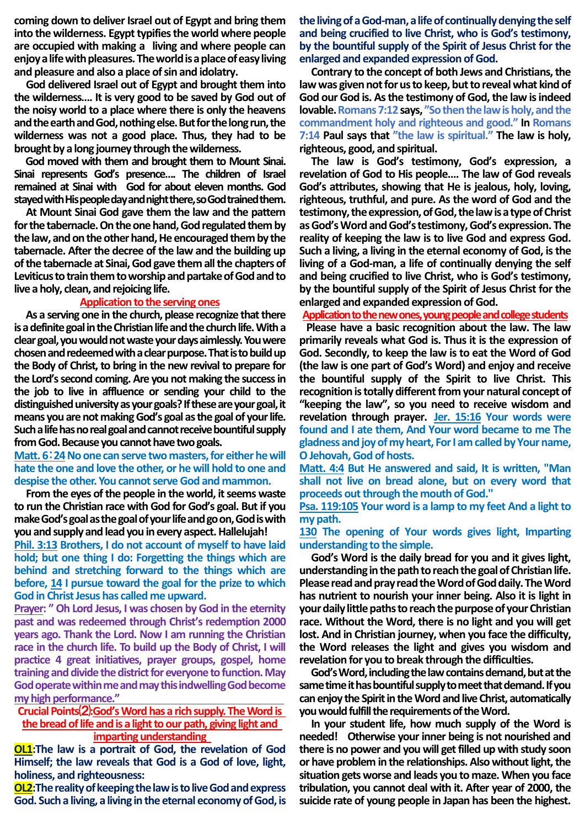**coming down to deliver Israel out of Egypt and bring them into the wilderness. Egypt typifies the world where people are occupied with making a living and where people can enjoy a life with pleasures. The world is a place of easy living and pleasure and also a place of sin and idolatry.**

**God delivered Israel out of Egypt and brought them into the wilderness…. It is very good to be saved by God out of the noisy world to a place where there is only the heavens and the earth and God, nothing else. But for the long run, the wilderness was not a good place. Thus, they had to be brought by a long journey through the wilderness.**

**God moved with them and brought them to Mount Sinai. Sinai represents God's presence…. The children of Israel remained at Sinai with God for about eleven months. God stayed with His people day and night there, so God trained them.**

**At Mount Sinai God gave them the law and the pattern for the tabernacle. On the one hand, God regulated them by**  the law, and on the other hand, He encouraged them by the **tabernacle. After the decree of the law and the building up of the tabernacle at Sinai, God gave them all the chapters of Leviticus to train them to worship and partake of God and to live a holy, clean, and rejoicing life.** 

## **Application to the serving ones**

**As a serving one in the church, please recognize that there is a definite goal in the Christian life and the church life. With a clear goal, you would not waste your days aimlessly. You were chosen and redeemed with a clear purpose. That is to build up the Body of Christ, to bring in the new revival to prepare for the Lord's second coming. Are you not making the success in the job to live in affluence or sending your child to the distinguished university as your goals? If these are your goal, it means you are not making God's goal as the goal of your life. Such a life has no real goal and cannot receive bountiful supply from God. Because you cannot have two goals.** 

## **Matt. 6**:**24No one can serve two masters, for either he will hate the one and love the other, or he will hold to one and despise the other. You cannot serve God and mammon.**

**From the eyes of the people in the world, it seems waste to run the Christian race with God for God's goal. But if you make God's goal as the goal of your life and go on, God is with you and supply and lead you in every aspect. Hallelujah!** 

**Phil. 3:13 Brothers, I do not account of myself to have laid hold; but one thing I do: Forgetting the things which are behind and stretching forward to the things which are before, 14 I pursue toward the goal for the prize to which God in Christ Jesus has called me upward.** 

**Prayer: " Oh Lord Jesus, I was chosen by God in the eternity past and was redeemed through Christ's redemption 2000 years ago. Thank the Lord. Now I am running the Christian race in the church life. To build up the Body of Christ, I will practice 4 great initiatives, prayer groups, gospel, home training and divide the district for everyone to function. May God operate within me and may this indwelling God become my high performance."** 

**Crucial Points**⑵**:God's Word has a rich supply. The Word is**  the bread of life and is a light to our path, giving light and **imparting understanding** 

**OL1:The law is a portrait of God, the revelation of God Himself; the law reveals that God is a God of love, light, holiness, and righteousness:**

**OL2:The reality of keeping the law is to live God and express God. Such a living, a living in the eternal economy of God, is**  **the living of a God-man, a life of continually denying the self and being crucified to live Christ, who is God's testimony, by the bountiful supply of the Spirit of Jesus Christ for the enlarged and expanded expression of God.**

**Contrary to the concept of both Jews and Christians, the law was given not for us to keep, but to reveal what kind of God our God is. As the testimony of God, the law is indeed lovable. Romans 7:12says, "So then the law is holy, and the commandment holy and righteous and good." In Romans 7:14 Paul says that "the law is spiritual." The law is holy, righteous, good, and spiritual.**

**The law is God's testimony, God's expression, a revelation of God to His people…. The law of God reveals God's attributes, showing that He is jealous, holy, loving, righteous, truthful, and pure. As the word of God and the testimony, the expression, of God, the law is a type of Christ as God's Word and God's testimony, God's expression. The reality of keeping the law is to live God and express God. Such a living, a living in the eternal economy of God, is the living of a God-man, a life of continually denying the self and being crucified to live Christ, who is God's testimony, by the bountiful supply of the Spirit of Jesus Christ for the enlarged and expanded expression of God.**

## **Application to the new ones, young people and college students**

**Please have a basic recognition about the law. The law primarily reveals what God is. Thus it is the expression of God. Secondly, to keep the law is to eat the Word of God (the law is one part of God's Word) and enjoy and receive the bountiful supply of the Spirit to live Christ. This recognition is totally different from your natural concept of "keeping the law", so you need to receive wisdom and revelation through prayer. Jer. 15:16 Your words were found and I ate them, And Your word became to me The gladness and joy of my heart, For I am called by Your name, O Jehovah, God of hosts.** 

**Matt. 4:4 But He answered and said, It is written, "Man shall not live on bread alone, but on every word that proceeds out through the mouth of God.''**

**Psa. 119:105 Your word is a lamp to my feet And a light to my path.**

**130 The opening of Your words gives light, Imparting understanding to the simple.**

**God's Word is the daily bread for you and it gives light, understandingin the path to reach the goal of Christian life. Please read and pray read the Word of God daily. The Word has nutrient to nourish your inner being. Also it is light in your daily little paths to reach the purpose of your Christian race. Without the Word, there is no light and you will get lost. And in Christian journey, when you face the difficulty, the Word releases the light and gives you wisdom and revelation for you to break through the difficulties.** 

**God's Word, including the law contains demand, but at the same time it has bountiful supply to meet that demand. If you can enjoy the Spirit in the Word and live Christ, automatically you would fulfill the requirements of the Word.**

**In your student life, how much supply of the Word is needed! Otherwise your inner being is not nourished and there is no power and you will get filled up with study soon or have problem in the relationships. Also without light, the situation gets worse and leads you to maze. When you face tribulation, you cannot deal with it. After year of 2000, the suicide rate of young people in Japan has been the highest.**